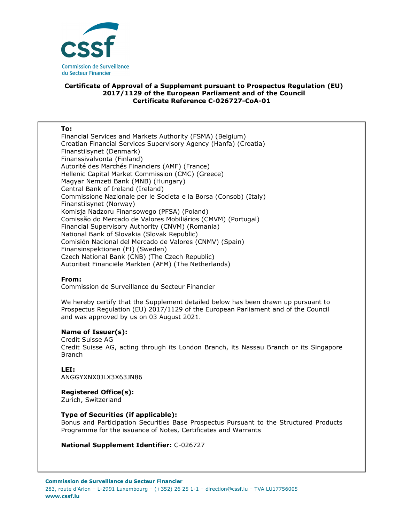

# **Certificate of Approval of a Supplement pursuant to Prospectus Regulation (EU) 2017/1129 of the European Parliament and of the Council Certificate Reference C-026727-CoA-01**

#### **To:**

Financial Services and Markets Authority (FSMA) (Belgium) Croatian Financial Services Supervisory Agency (Hanfa) (Croatia) Finanstilsynet (Denmark) Finanssivalvonta (Finland) Autorité des Marchés Financiers (AMF) (France) Hellenic Capital Market Commission (CMC) (Greece) Magyar Nemzeti Bank (MNB) (Hungary) Central Bank of Ireland (Ireland) Commissione Nazionale per le Societa e la Borsa (Consob) (Italy) Finanstilsynet (Norway) Komisja Nadzoru Finansowego (PFSA) (Poland) Comissão do Mercado de Valores Mobiliários (CMVM) (Portugal) Financial Supervisory Authority (CNVM) (Romania) National Bank of Slovakia (Slovak Republic) Comisión Nacional del Mercado de Valores (CNMV) (Spain) Finansinspektionen (FI) (Sweden) Czech National Bank (CNB) (The Czech Republic) Autoriteit Financiële Markten (AFM) (The Netherlands)

# **From:**

Commission de Surveillance du Secteur Financier

We hereby certify that the Supplement detailed below has been drawn up pursuant to Prospectus Regulation (EU) 2017/1129 of the European Parliament and of the Council and was approved by us on 03 August 2021.

# **Name of Issuer(s):**

Credit Suisse AG Credit Suisse AG, acting through its London Branch, its Nassau Branch or its Singapore Branch

# **LEI:**

ANGGYXNX0JLX3X63JN86

# **Registered Office(s):**

Zurich, Switzerland

# **Type of Securities (if applicable):**

Bonus and Participation Securities Base Prospectus Pursuant to the Structured Products Programme for the issuance of Notes, Certificates and Warrants

# **National Supplement Identifier:** C-026727